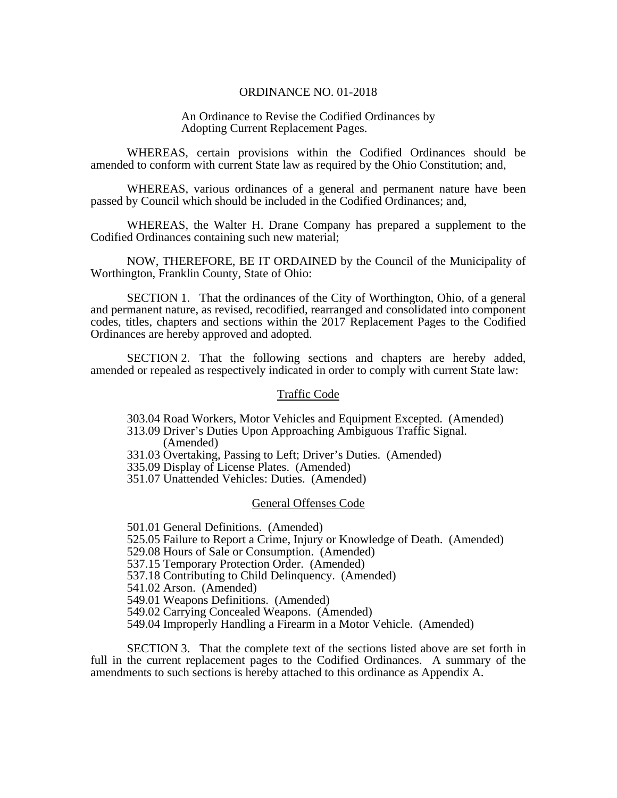### ORDINANCE NO. 01-2018

### An Ordinance to Revise the Codified Ordinances by Adopting Current Replacement Pages.

 WHEREAS, certain provisions within the Codified Ordinances should be amended to conform with current State law as required by the Ohio Constitution; and,

 WHEREAS, various ordinances of a general and permanent nature have been passed by Council which should be included in the Codified Ordinances; and,

 WHEREAS, the Walter H. Drane Company has prepared a supplement to the Codified Ordinances containing such new material;

NOW, THEREFORE, BE IT ORDAINED by the Council of the Municipality of Worthington, Franklin County, State of Ohio:

 SECTION 1. That the ordinances of the City of Worthington, Ohio, of a general and permanent nature, as revised, recodified, rearranged and consolidated into component codes, titles, chapters and sections within the 2017 Replacement Pages to the Codified Ordinances are hereby approved and adopted.

 SECTION 2. That the following sections and chapters are hereby added, amended or repealed as respectively indicated in order to comply with current State law:

## Traffic Code

303.04 Road Workers, Motor Vehicles and Equipment Excepted. (Amended)

 313.09 Driver's Duties Upon Approaching Ambiguous Traffic Signal. (Amended)

331.03 Overtaking, Passing to Left; Driver's Duties. (Amended)

335.09 Display of License Plates. (Amended)

351.07 Unattended Vehicles: Duties. (Amended)

#### General Offenses Code

501.01 General Definitions. (Amended)

525.05 Failure to Report a Crime, Injury or Knowledge of Death. (Amended)

529.08 Hours of Sale or Consumption. (Amended)

537.15 Temporary Protection Order. (Amended)

537.18 Contributing to Child Delinquency. (Amended)

541.02 Arson. (Amended)

549.01 Weapons Definitions. (Amended)

549.02 Carrying Concealed Weapons. (Amended)

549.04 Improperly Handling a Firearm in a Motor Vehicle. (Amended)

 SECTION 3. That the complete text of the sections listed above are set forth in full in the current replacement pages to the Codified Ordinances. A summary of the amendments to such sections is hereby attached to this ordinance as Appendix A.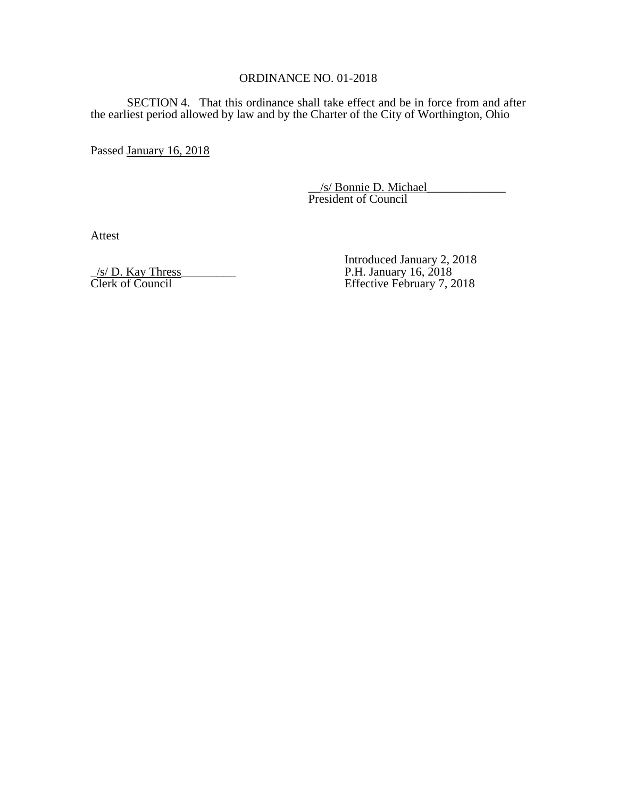## ORDINANCE NO. 01-2018

 SECTION 4. That this ordinance shall take effect and be in force from and after the earliest period allowed by law and by the Charter of the City of Worthington, Ohio

Passed January 16, 2018

 \_\_/s/ Bonnie D. Michael\_\_\_\_\_\_\_\_\_\_\_\_\_ President of Council

Attest

 $/$ s/ D. Kay Thress

Introduced January 2, 2018<br>P.H. January 16, 2018<br>Effective February 7, 2018 Clerk of Council Effective February 7, 2018